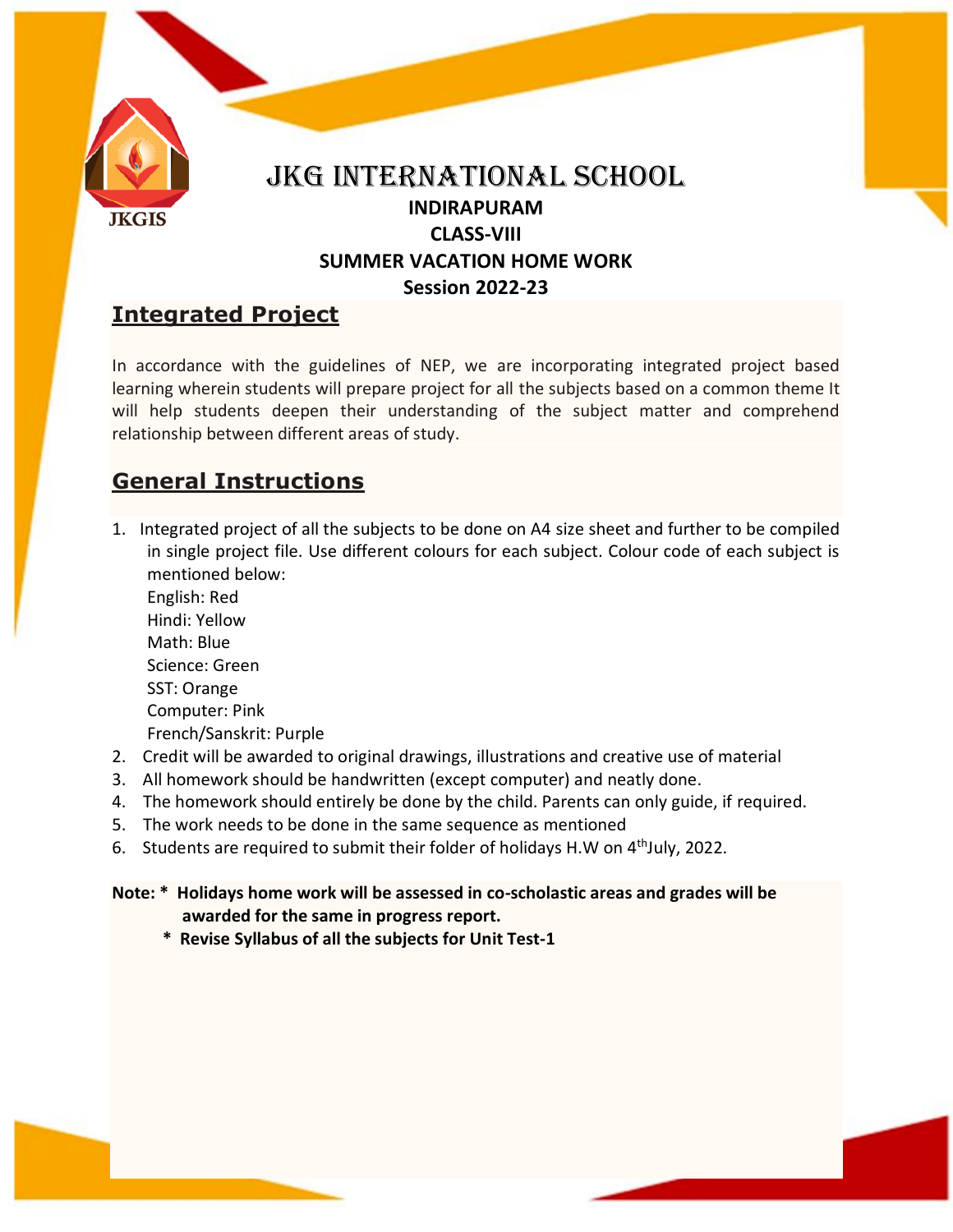

# **Integrated Project**

In accordance with the guidelines of NEP, we are incorporating integrated project based learning wherein students will prepare project for all the subjects based on a common theme It will help students deepen their understanding of the subject matter and comprehend relationship between different areas of study.

## **General Instructions**

1. Integrated project of all the subjects to be done on A4 size sheet and further to be compiled in single project file. Use different colours for each subject. Colour code of each subject is mentioned below:

English: Red Hindi: Yellow Math: Blue Science: Green SST: Orange Computer: Pink French/Sanskrit: Purple

- 2. Credit will be awarded to original drawings, illustrations and creative use of material
- 3. All homework should be handwritten (except computer) and neatly done.
- 4. The homework should entirely be done by the child. Parents can only guide, if required.
- 5. The work needs to be done in the same sequence as mentioned
- 6. Students are required to submit their folder of holidays H.W on  $4<sup>th</sup>$ July, 2022.

**Note: \* Holidays home work will be assessed in co-scholastic areas and grades will be awarded for the same in progress report.**

 **\* Revise Syllabus of all the subjects for Unit Test-1**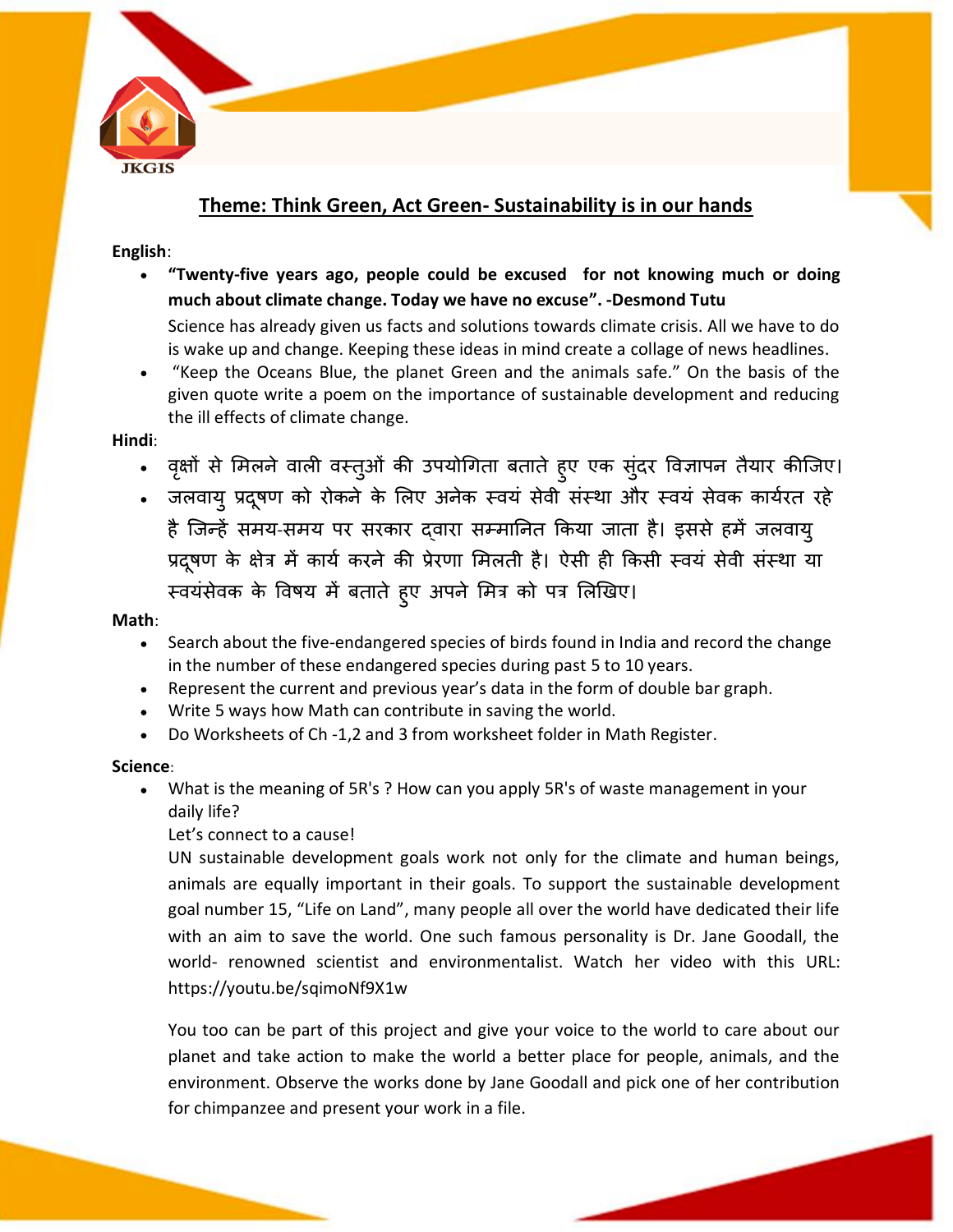

### **Theme: Think Green, Act Green- Sustainability is in our hands**

### **English**:

**"Twenty-five years ago, people could be excused for not knowing much or doing much about climate change. Today we have no excuse". -Desmond Tutu** 

Science has already given us facts and solutions towards climate crisis. All we have to do is wake up and change. Keeping these ideas in mind create a collage of news headlines.

"Keep the Oceans Blue, the planet Green and the animals safe." On the basis of the given quote write a poem on the importance of sustainable development and reducing the ill effects of climate change.

#### **Hindi**:

- वृक्षों से मिलने वाली वस्तुओं की उपयोगिता बताते हुए एक सुंदर विज्ञापन तैयार कीजिए।
- जलवायु प्रदुषण को रोकने के लिए अनेक स्वयं सेवी संस्था और स्वयं सेवक कार्यरत रहे है जिन्हें समय-समय पर सरकार दवारा सम्मानित किया जाता है। इससे हमें जलवायु प्रदूषण के क्षेत्र में कार्य करने की प्रेरणा मिलती है। ऐसी ही किसी स्वयं सेवी संस्था या स्वयंसेवक के विषय में बताते हुए अपने मित्र को पत्र लिखिए।

#### **Math**:

- Search about the five-endangered species of birds found in India and record the change in the number of these endangered species during past 5 to 10 years.
- Represent the current and previous year's data in the form of double bar graph.
- Write 5 ways how Math can contribute in saving the world.
- Do Worksheets of Ch -1,2 and 3 from worksheet folder in Math Register.

#### **Science**:

- What is the meaning of 5R's ? How can you apply 5R's of waste management in your daily life?
	- Let's connect to a cause!

UN sustainable development goals work not only for the climate and human beings, animals are equally important in their goals. To support the sustainable development goal number 15, "Life on Land", many people all over the world have dedicated their life with an aim to save the world. One such famous personality is Dr. Jane Goodall, the world- renowned scientist and environmentalist. Watch her video with this URL: https://youtu.be/sqimoNf9X1w

You too can be part of this project and give your voice to the world to care about our planet and take action to make the world a better place for people, animals, and the environment. Observe the works done by Jane Goodall and pick one of her contribution for chimpanzee and present your work in a file.